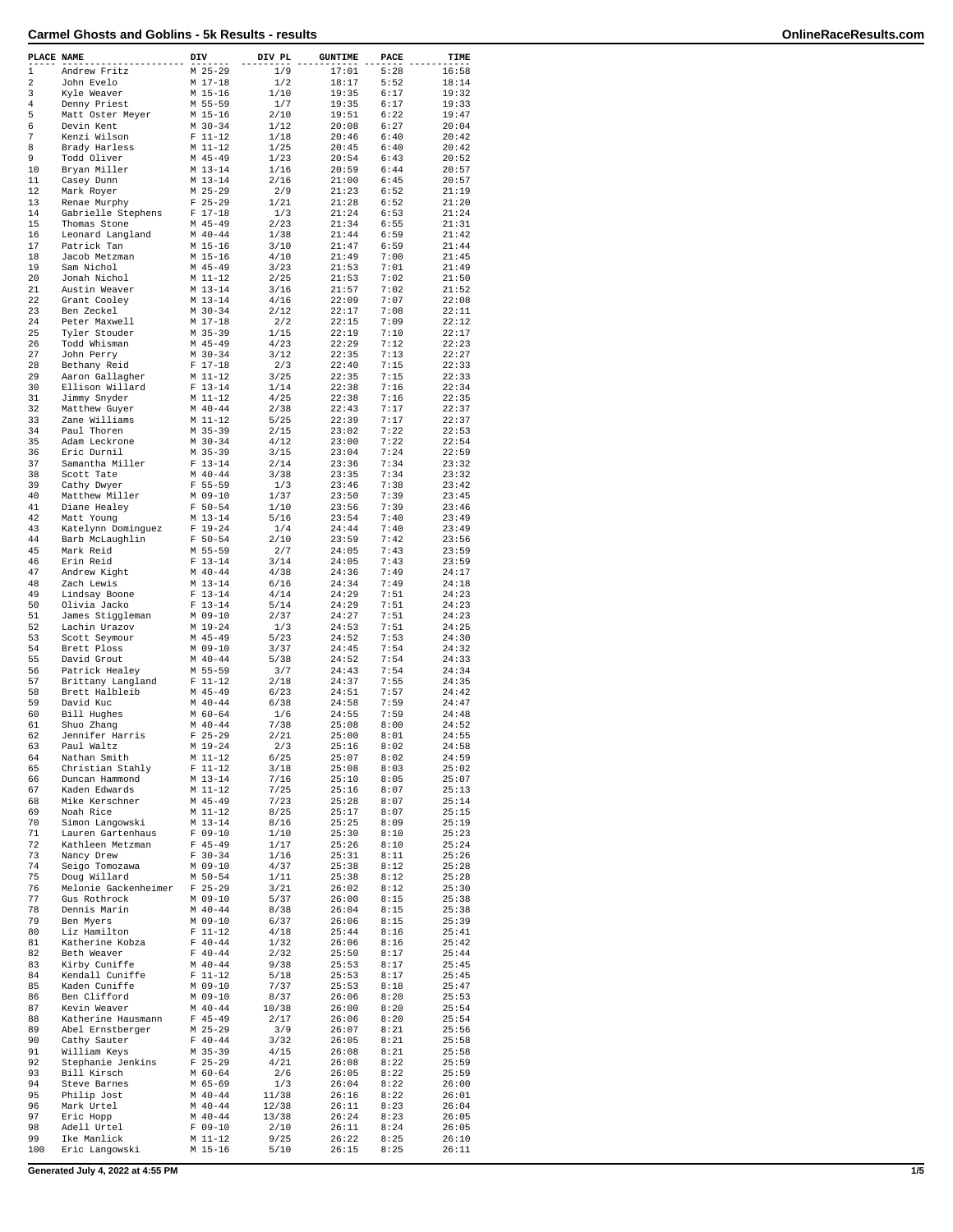| PLACE NAME       |                                    | DIV                      | DIV PL       | <b>GUNTIME</b> | PACE         | TIME           |
|------------------|------------------------------------|--------------------------|--------------|----------------|--------------|----------------|
| 1                | Andrew Fritz                       | $M$ 25-29                | 1/9          | 17:01          | 5:28         | 16:58          |
| 2                | John Evelo                         | $M$ 17-18                | 1/2          | 18:17          | 5:52         | 18:14          |
| 3                | Kyle Weaver                        | M 15-16                  | 1/10         | 19:35          | 6:17         | 19:32          |
| 4                | Denny Priest                       | M 55-59                  | 1/7          | 19:35          | 6:17         | 19:33          |
| 5                | Matt Oster Meyer                   | M 15-16                  | 2/10         | 19:51          | 6:22         | 19:47          |
| 6                | Devin Kent                         | $M$ 30-34                | 1/12         | 20:08          | 6:27         | 20:04          |
| $\boldsymbol{7}$ | Kenzi Wilson                       | $F 11-12$                | 1/18         | 20:46          | 6:40         | 20:42          |
| 8                | Brady Harless                      | $M$ 11-12                | 1/25         | 20:45          | 6:40         | 20:42          |
| 9                | Todd Oliver                        | $M$ 45-49                | 1/23         | 20:54          | 6:43         | 20:52          |
| 10               | Bryan Miller                       | $M$ 13-14                | 1/16         | 20:59          | 6:44         | 20:57          |
| 11<br>12         | Casey Dunn                         | $M$ 13-14<br>$M$ 25-29   | 2/16<br>2/9  | 21:00<br>21:23 | 6:45<br>6:52 | 20:57<br>21:19 |
| 13               | Mark Royer                         | $F$ 25-29                | 1/21         | 21:28          | 6:52         | 21:20          |
| 14               | Renae Murphy<br>Gabrielle Stephens | $F 17-18$                | 1/3          | 21:24          | 6:53         | 21:24          |
| 15               | Thomas Stone                       | M 45-49                  | 2/23         | 21:34          | 6:55         | 21:31          |
| 16               | Leonard Langland                   | $M$ 40-44                | 1/38         | 21:44          | 6:59         | 21:42          |
| 17               | Patrick Tan                        | M 15-16                  | 3/10         | 21:47          | 6:59         | 21:44          |
| 18               | Jacob Metzman                      | M 15-16                  | 4/10         | 21:49          | 7:00         | 21:45          |
| 19               | Sam Nichol                         | $M$ 45-49                | 3/23         | 21:53          | 7:01         | 21:49          |
| 20               | Jonah Nichol                       | $M_11-12$                | 2/25         | 21:53          | 7:02         | 21:50          |
| 21               | Austin Weaver                      | $M$ 13-14                | 3/16         | 21:57          | 7:02         | 21:52          |
| 22               | Grant Cooley                       | $M$ 13-14                | 4/16         | 22:09          | 7:07         | 22:08          |
| 23               | Ben Zeckel                         | $M$ 30-34                | 2/12         | 22:17          | 7:08         | 22:11          |
| 24               | Peter Maxwell                      | M 17-18                  | 2/2          | 22:15          | 7:09         | 22:12          |
| 25               | Tyler Stouder                      | M 35-39                  | 1/15         | 22:19          | 7:10         | 22:17          |
| 26               | Todd Whisman                       | M 45-49                  | 4/23         | 22:29          | 7:12         | 22:23          |
| 27               | John Perry                         | $M$ 30-34                | 3/12         | 22:35          | 7:13         | 22:27          |
| 28               | Bethany Reid                       | $F 17-18$                | 2/3          | 22:40          | 7:15         | 22:33          |
| 29               | Aaron Gallagher                    | M 11-12                  | 3/25         | 22:35          | 7:15         | 22:33          |
| 30               | Ellison Willard                    | $F 13-14$                | 1/14         | 22:38          | 7:16         | 22:34          |
| 31               | Jimmy Snyder                       | $M$ 11-12                | 4/25         | 22:38          | 7:16         | 22:35          |
| 32               | Matthew Guyer                      | $M$ 40-44                | 2/38         | 22:43          | 7:17         | 22:37          |
| 33               | Zane Williams                      | $M$ 11-12                | 5/25         | 22:39          | 7:17         | 22:37          |
| 34               | Paul Thoren                        | M 35-39                  | 2/15         | 23:02          | 7:22         | 22:53          |
| 35               | Adam Leckrone                      | $M$ 30-34                | 4/12         | 23:00          | 7:22         | 22:54          |
| 36               | Eric Durnil                        | M 35-39                  | 3/15         | 23:04          | 7:24         | 22:59          |
| 37               | Samantha Miller                    | $F 13-14$                | 2/14         | 23:36          | 7:34         | 23:32          |
| 38               | Scott Tate                         | $M$ 40-44<br>$F 55 - 59$ | 3/38         | 23:35          | 7:34         | 23:32          |
| 39               | Cathy Dwyer                        |                          | 1/3          | 23:46          | 7:38         | 23:42          |
| 40<br>41         | Matthew Miller                     | M 09-10                  | 1/37         | 23:50          | 7:39         | 23:45          |
| 42               | Diane Healey                       | $F 50 - 54$<br>$M$ 13-14 | 1/10<br>5/16 | 23:56<br>23:54 | 7:39<br>7:40 | 23:46<br>23:49 |
| 43               | Matt Young<br>Katelynn Dominguez   | $F 19-24$                | 1/4          | 24:44          | 7:40         | 23:49          |
| 44               | Barb McLaughlin                    | $F 50 - 54$              | 2/10         | 23:59          | 7:42         | 23:56          |
| 45               | Mark Reid                          | M 55-59                  | 2/7          | 24:05          | 7:43         | 23:59          |
| 46               | Erin Reid                          | $F 13-14$                | 3/14         | 24:05          | 7:43         | 23:59          |
| 47               | Andrew Kight                       | $M$ 40-44                | 4/38         | 24:36          | 7:49         | 24:17          |
| 48               | Zach Lewis                         | $M$ 13-14                | 6/16         | 24:34          | 7:49         | 24:18          |
| 49               | Lindsay Boone                      | $F 13-14$                | 4/14         | 24:29          | 7:51         | 24:23          |
| 50               | Olivia Jacko                       | $F 13-14$                | 5/14         | 24:29          | 7:51         | 24:23          |
| 51               | James Stiggleman                   | M 09-10                  | 2/37         | 24:27          | 7:51         | 24:23          |
| 52               | Lachin Urazov                      | M 19-24                  | 1/3          | 24:53          | 7:51         | 24:25          |
| 53               | Scott Seymour                      | M 45-49                  | 5/23         | 24:52          | 7:53         | 24:30          |
| 54               | Brett Ploss                        | M 09-10                  | 3/37         | 24:45          | 7:54         | 24:32          |
| 55               | David Grout                        | $M$ 40-44                | 5/38         | 24:52          | 7:54         | 24:33          |
| 56               | Patrick Healey                     | M 55-59                  | 3/7          | 24:43          | 7:54         | 24:34          |
| 57               | Brittany Langland                  | $F 11-12$                | 2/18         | 24:37          | 7:55         | 24:35          |
| 58               | Brett Halbleib                     | $M$ 45-49                | 6/23         | 24:51          | 7:57         | 24:42          |
| 59               | David Kuc                          | $M$ 40-44                | 6/38         | 24:58          | 7:59         | 24:47          |
| 60               | Bill Hughes                        | M 60-64                  | 1/6          | 24:55          | 7:59         | 24:48          |
| 61               | Shuo Zhang                         | $M$ 40-44                | 7/38         | 25:08          | 8:00         | 24:52          |
| 62               | Jennifer Harris                    | $F$ 25-29                | 2/21         | 25:00          | 8:01         | 24:55          |
| 63               | Paul Waltz                         | M 19-24                  | 2/3          | 25:16          | 8:02         | 24:58          |
| 64               | Nathan Smith                       | M 11-12                  | 6/25         | 25:07          | 8:02         | 24:59          |
| 65<br>66         | Christian Stahly<br>Duncan Hammond | $F 11-12$<br>M 13-14     | 3/18<br>7/16 | 25:08<br>25:10 | 8:03<br>8:05 | 25:02<br>25:07 |
| 67               | Kaden Edwards                      | M 11-12                  | 7/25         | 25:16          | 8:07         | 25:13          |
| 68               | Mike Kerschner                     | $M$ 45-49                | 7/23         | 25:28          | 8:07         | 25:14          |
| 69               | Noah Rice                          | M 11-12                  | 8/25         | 25:17          | 8:07         | 25:15          |
| 70               | Simon Langowski                    | M 13-14                  | 8/16         | 25:25          | 8:09         | 25:19          |
| 71               | Lauren Gartenhaus                  | $F 09-10$                | 1/10         | 25:30          | 8:10         | 25:23          |
| 72               | Kathleen Metzman                   | $F$ 45-49                | 1/17         | 25:26          | 8:10         | 25:24          |
| 73               | Nancy Drew                         | $F 30-34$                | 1/16         | 25:31          | 8:11         | 25:26          |
| 74               | Seigo Tomozawa                     | $M$ 09-10                | 4/37         | 25:38          | 8:12         | 25:28          |
| 75               | Doug Willard                       | $M$ 50-54                | 1/11         | 25:38          | 8:12         | 25:28          |
| 76               | Melonie Gackenheimer               | $F$ 25-29                | 3/21         | 26:02          | 8:12         | 25:30          |
| 77               | Gus Rothrock                       | $M$ 09-10                | 5/37         | 26:00          | 8:15         | 25:38          |
| 78               | Dennis Marin                       | $M$ 40-44                | 8/38         | 26:04          | 8:15         | 25:38          |
| 79               | Ben Myers                          | $M$ 09-10                | 6/37         | 26:06          | 8:15         | 25:39          |
| 80               | Liz Hamilton                       | $F 11-12$                | 4/18         | 25:44          | 8:16         | 25:41          |
| 81               | Katherine Kobza                    | $F 40-44$                | 1/32         | 26:06          | 8:16         | 25:42          |
| 82               | Beth Weaver                        | $F 40 - 44$              | 2/32         | 25:50          | 8:17         | 25:44          |
| 83               | Kirby Cuniffe                      | $M$ 40-44                | 9/38         | 25:53          | 8:17         | 25:45          |
| 84               | Kendall Cuniffe                    | $F 11-12$                | 5/18         | 25:53          | 8:17         | 25:45          |
| 85               | Kaden Cuniffe                      | M 09-10                  | 7/37         | 25:53          | 8:18         | 25:47          |
| 86               | Ben Clifford                       | $M$ 09-10                | 8/37         | 26:06          | 8:20         | 25:53          |
| 87               | Kevin Weaver                       | $M$ 40-44                | 10/38        | 26:00          | 8:20         | 25:54          |
| 88               | Katherine Hausmann                 | $F$ 45-49                | 2/17         | 26:06          | 8:20         | 25:54          |
| 89               | Abel Ernstberger                   | $M$ 25-29                | 3/9          | 26:07          | 8:21         | 25:56          |
| 90               | Cathy Sauter                       | $F 40 - 44$              | 3/32         | 26:05          | 8:21         | 25:58          |
| 91<br>92         | William Keys                       | M 35-39<br>$F$ 25-29     | 4/15<br>4/21 | 26:08          | 8:21<br>8:22 | 25:58<br>25:59 |
| 93               | Stephanie Jenkins<br>Bill Kirsch   | M 60-64                  | 2/6          | 26:08<br>26:05 | 8:22         | 25:59          |
| 94               | Steve Barnes                       | M 65-69                  | 1/3          | 26:04          | 8:22         | 26:00          |
| 95               | Philip Jost                        | $M$ 40-44                | 11/38        | 26:16          | 8:22         | 26:01          |
| 96               | Mark Urtel                         | $M$ 40-44                | 12/38        | 26:11          | 8:23         | 26:04          |
| 97               | Eric Hopp                          | $M$ 40-44                | 13/38        | 26:24          | 8:23         | 26:05          |
| 98               | Adell Urtel                        | $F 09-10$                | 2/10         | 26:11          | 8:24         | 26:05          |
| 99               | Ike Manlick                        | M 11-12                  | 9/25         | 26:22          | 8:25         | 26:10          |
| 100              | Eric Langowski                     | M 15-16                  | 5/10         | 26:15          | 8:25         | 26:11          |
|                  |                                    |                          |              |                |              |                |

**Generated July 4, 2022 at 4:55 PM 1/5**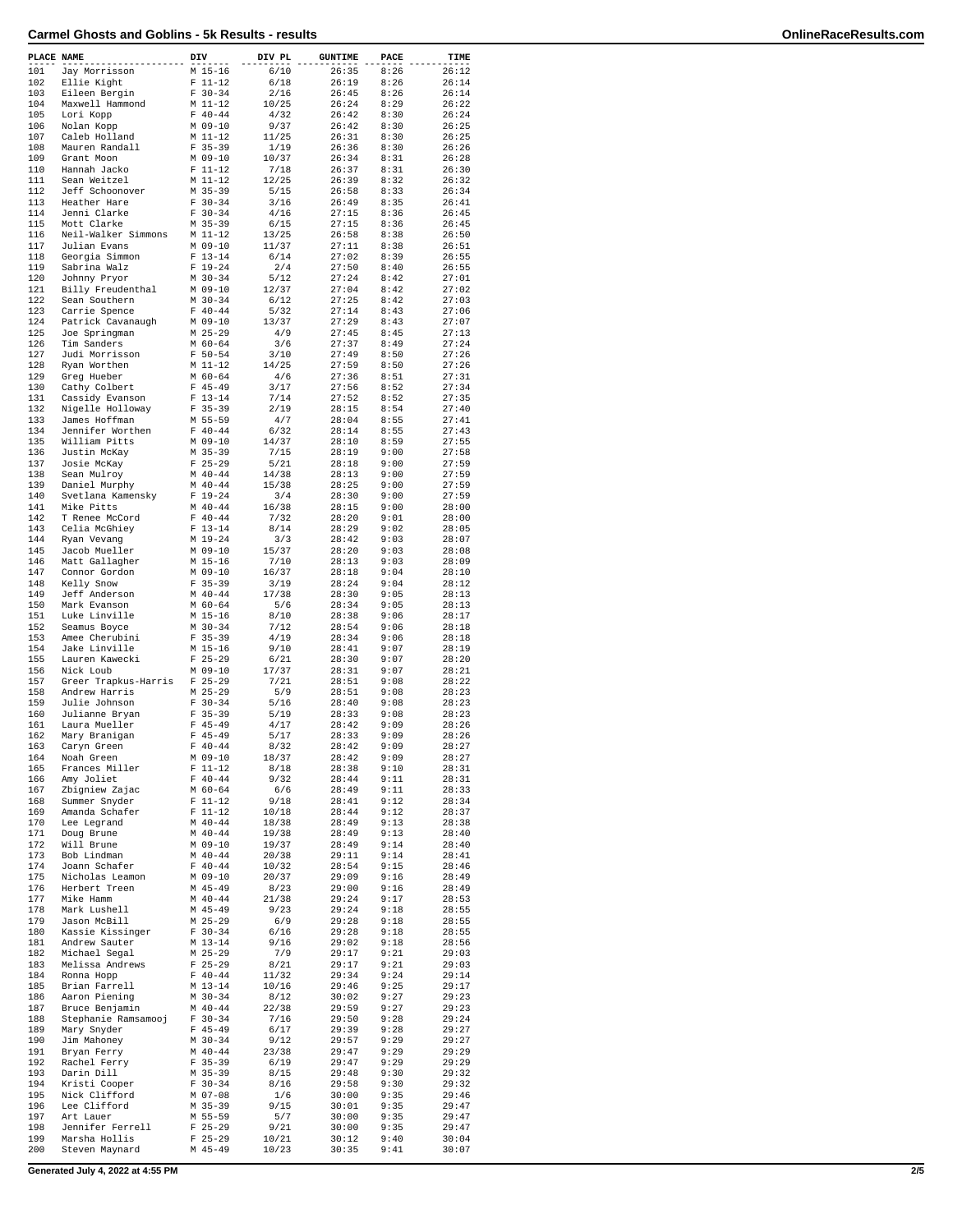| PLACE NAME |                                   | DIV                      | DIV PL         | <b>GUNTIME</b> | PACE         | TIME           |
|------------|-----------------------------------|--------------------------|----------------|----------------|--------------|----------------|
| 101        | Jay Morrisson                     | M 15-16                  | 6/10           | 26:35          | 8:26         | 26:12          |
| 102        | Ellie Kight                       | $F 11-12$                | 6/18           | 26:19          | 8:26         | 26:14          |
| 103<br>104 | Eileen Bergin<br>Maxwell Hammond  | $F 30-34$<br>M 11-12     | 2/16<br>10/25  | 26:45<br>26:24 | 8:26<br>8:29 | 26:14<br>26:22 |
| 105        | Lori Kopp                         | $F 40 - 44$              | 4/32           | 26:42          | 8:30         | 26:24          |
| 106        | Nolan Kopp                        | $M$ 09-10                | 9/37           | 26:42          | 8:30         | 26:25          |
| 107        | Caleb Holland                     | M 11-12                  | 11/25          | 26:31          | 8:30         | 26:25          |
| 108        | Mauren Randall                    | $F$ 35-39                | 1/19           | 26:36          | 8:30         | 26:26          |
| 109<br>110 | Grant Moon                        | $M$ 09-10                | 10/37          | 26:34          | 8:31         | 26:28<br>26:30 |
| 111        | Hannah Jacko<br>Sean Weitzel      | $F 11-12$<br>$M_11-12$   | 7/18<br>12/25  | 26:37<br>26:39 | 8:31<br>8:32 | 26:32          |
| 112        | Jeff Schoonover                   | $M$ 35-39                | 5/15           | 26:58          | 8:33         | 26:34          |
| 113        | Heather Hare                      | $F 30-34$                | 3/16           | 26:49          | 8:35         | 26:41          |
| 114        | Jenni Clarke                      | $F 30-34$                | 4/16           | 27:15          | 8:36         | 26:45          |
| 115        | Mott Clarke                       | $M$ 35-39                | 6/15           | 27:15          | 8:36         | 26:45          |
| 116        | Neil-Walker Simmons               | $M$ 11-12                | 13/25          | 26:58          | 8:38         | 26:50          |
| 117<br>118 | Julian Evans<br>Georgia Simmon    | M 09-10<br>$F 13 - 14$   | 11/37<br>6/14  | 27:11<br>27:02 | 8:38<br>8:39 | 26:51<br>26:55 |
| 119        | Sabrina Walz                      | $F 19-24$                | 2/4            | 27:50          | 8:40         | 26:55          |
| 120        | Johnny Pryor                      | $M$ 30-34                | 5/12           | 27:24          | 8:42         | 27:01          |
| 121        | Billy Freudenthal                 | $M$ 09-10                | 12/37          | 27:04          | 8:42         | 27:02          |
| 122        | Sean Southern                     | $M$ 30-34                | 6/12           | 27:25          | 8:42         | 27:03          |
| 123        | Carrie Spence                     | $F 40 - 44$              | 5/32           | 27:14          | 8:43         | 27:06          |
| 124        | Patrick Cavanaugh                 | $M$ 09-10                | 13/37          | 27:29          | 8:43         | 27:07          |
| 125<br>126 | Joe Springman<br>Tim Sanders      | $M$ 25-29<br>$M$ 60-64   | 4/9<br>3/6     | 27:45<br>27:37 | 8:45<br>8:49 | 27:13<br>27:24 |
| 127        | Judi Morrisson                    | $F 50 - 54$              | 3/10           | 27:49          | 8:50         | 27:26          |
| 128        | Ryan Worthen                      | M 11-12                  | 14/25          | 27:59          | 8:50         | 27:26          |
| 129        | Greg Hueber                       | $M$ 60-64                | 4/6            | 27:36          | 8:51         | 27:31          |
| 130        | Cathy Colbert                     | $F$ 45-49                | 3/17           | 27:56          | 8:52         | 27:34          |
| 131        | Cassidy Evanson                   | $F 13 - 14$              | 7/14           | 27:52          | 8:52         | 27:35          |
| 132<br>133 | Nigelle Holloway<br>James Hoffman | $F$ 35-39<br>M 55-59     | 2/19<br>4/7    | 28:15          | 8:54<br>8:55 | 27:40<br>27:41 |
| 134        | Jennifer Worthen                  | $F 40-44$                | 6/32           | 28:04<br>28:14 | 8:55         | 27:43          |
| 135        | William Pitts                     | $M$ 09-10                | 14/37          | 28:10          | 8:59         | 27:55          |
| 136        | Justin McKay                      | $M$ 35-39                | 7/15           | 28:19          | 9:00         | 27:58          |
| 137        | Josie McKay                       | $F$ 25-29                | 5/21           | 28:18          | 9:00         | 27:59          |
| 138        | Sean Mulroy                       | $M$ 40-44                | 14/38          | 28:13          | 9:00         | 27:59          |
| 139        | Daniel Murphy                     | $M$ 40-44                | 15/38          | 28:25          | 9:00         | 27:59          |
| 140        | Svetlana Kamensky                 | $F 19-24$                | 3/4            | 28:30          | 9:00         | 27:59          |
| 141<br>142 | Mike Pitts<br>T Renee McCord      | $M$ 40-44<br>$F 40 - 44$ | 16/38<br>7/32  | 28:15<br>28:20 | 9:00<br>9:01 | 28:00<br>28:00 |
| 143        | Celia McGhiey                     | $F 13 - 14$              | 8/14           | 28:29          | 9:02         | 28:05          |
| 144        | Ryan Vevang                       | $M_1$ 19-24              | 3/3            | 28:42          | 9:03         | 28:07          |
| 145        | Jacob Mueller                     | $M$ 09-10                | 15/37          | 28:20          | 9:03         | 28:08          |
| 146        | Matt Gallagher                    | M 15-16                  | 7/10           | 28:13          | 9:03         | 28:09          |
| 147        | Connor Gordon                     | $M$ 09-10                | 16/37          | 28:18          | 9:04         | 28:10          |
| 148<br>149 | Kelly Snow                        | $F$ 35-39<br>$M$ 40-44   | 3/19           | 28:24          | 9:04<br>9:05 | 28:12<br>28:13 |
| 150        | Jeff Anderson<br>Mark Evanson     | $M$ 60-64                | 17/38<br>5/6   | 28:30<br>28:34 | 9:05         | 28:13          |
| 151        | Luke Linville                     | $M$ 15-16                | 8/10           | 28:38          | 9:06         | 28:17          |
| 152        | Seamus Boyce                      | $M$ 30-34                | 7/12           | 28:54          | 9:06         | 28:18          |
| 153        | Amee Cherubini                    | $F$ 35-39                | 4/19           | 28:34          | 9:06         | 28:18          |
| 154        | Jake Linville                     | $M$ 15-16                | 9/10           | 28:41          | 9:07         | 28:19          |
| 155        | Lauren Kawecki                    | $F$ 25-29                | 6/21           | 28:30          | 9:07         | 28:20          |
| 156<br>157 | Nick Loub<br>Greer Trapkus-Harris | M 09-10<br>$F$ 25-29     | 17/37<br>7/21  | 28:31<br>28:51 | 9:07<br>9:08 | 28:21<br>28:22 |
| 158        | Andrew Harris                     | $M$ 25-29                | 5/9            | 28:51          | 9:08         | 28:23          |
| 159        | Julie Johnson                     | $F 30-34$                | 5/16           | 28:40          | 9:08         | 28:23          |
| 160        | Julianne Bryan                    | $F$ 35-39                | 5/19           | 28:33          | 9:08         | 28:23          |
| 161        | Laura Mueller                     | $F$ 45-49                | 4/17           | 28:42          | 9:09         | 28:26          |
| 162        | Mary Branigan                     | $F$ 45-49                | 5/17           | 28:33          | 9:09         | 28:26          |
| 163<br>164 | Caryn Green<br>Noah Green         | $F 40 - 44$<br>M 09-10   | 8/32<br>18/37  | 28:42<br>28:42 | 9:09<br>9:09 | 28:27<br>28:27 |
| 165        | Frances Miller                    | $F 11-12$                | 8/18           | 28:38          | 9:10         | 28:31          |
| 166        | Amy Joliet                        | $F 40 - 44$              | 9/32           | 28:44          | 9:11         | 28:31          |
| 167        | Zbigniew Zajac                    | $M$ 60-64                | 6/6            | 28:49          | 9:11         | 28:33          |
| 168        | Summer Snyder                     | $F 11 - 12$              | 9/18           | 28:41          | 9:12         | 28:34          |
| 169        | Amanda Schafer                    | $F 11-12$                | 10/18          | 28:44          | 9:12         | 28:37          |
| 170<br>171 | Lee Legrand<br>Doug Brune         | $M$ 40-44<br>$M$ 40-44   | 18/38<br>19/38 | 28:49<br>28:49 | 9:13<br>9:13 | 28:38<br>28:40 |
| 172        | Will Brune                        | $M$ 09-10                | 19/37          | 28:49          | 9:14         | 28:40          |
| 173        | Bob Lindman                       | $M$ 40-44                | 20/38          | 29:11          | 9:14         | 28:41          |
| 174        | Joann Schafer                     | $F 40 - 44$              | 10/32          | 28:54          | 9:15         | 28:46          |
| 175        | Nicholas Leamon                   | $M$ 09-10                | 20/37          | 29:09          | 9:16         | 28:49          |
| 176        | Herbert Treen                     | $M$ 45-49                | 8/23           | 29:00          | 9:16         | 28:49          |
| 177<br>178 | Mike Hamm                         | $M$ 40-44                | 21/38          | 29:24          | 9:17         | 28:53          |
| 179        | Mark Lushell<br>Jason McBill      | $M$ 45-49<br>$M$ 25-29   | 9/23<br>6/9    | 29:24<br>29:28 | 9:18<br>9:18 | 28:55<br>28:55 |
| 180        | Kassie Kissinger                  | $F 30-34$                | 6/16           | 29:28          | 9:18         | 28:55          |
| 181        | Andrew Sauter                     | M 13-14                  | 9/16           | 29:02          | 9:18         | 28:56          |
| 182        | Michael Segal                     | $M$ 25-29                | 7/9            | 29:17          | 9:21         | 29:03          |
| 183        | Melissa Andrews                   | $F$ 25-29                | 8/21           | 29:17          | 9:21         | 29:03          |
| 184        | Ronna Hopp                        | $F 40 - 44$              | 11/32          | 29:34          | 9:24         | 29:14          |
| 185        | Brian Farrell                     | M 13-14                  | 10/16          | 29:46          | 9:25         | 29:17          |
| 186<br>187 | Aaron Piening<br>Bruce Benjamin   | M 30-34<br>$M$ 40-44     | 8/12<br>22/38  | 30:02<br>29:59 | 9:27<br>9:27 | 29:23<br>29:23 |
| 188        | Stephanie Ramsamooj               | $F 30-34$                | 7/16           | 29:50          | 9:28         | 29:24          |
| 189        | Mary Snyder                       | $F$ 45-49                | 6/17           | 29:39          | 9:28         | 29:27          |
| 190        | Jim Mahoney                       | $M$ 30-34                | 9/12           | 29:57          | 9:29         | 29:27          |
| 191        | Bryan Ferry                       | $M$ 40-44                | 23/38          | 29:47          | 9:29         | 29:29          |
| 192        | Rachel Ferry                      | $F$ 35-39                | 6/19           | 29:47          | 9:29         | 29:29          |
| 193<br>194 | Darin Dill<br>Kristi Cooper       | $M$ 35-39<br>$F 30-34$   | 8/15<br>8/16   | 29:48<br>29:58 | 9:30<br>9:30 | 29:32<br>29:32 |
| 195        | Nick Clifford                     | $M$ 07-08                | 1/6            | 30:00          | 9:35         | 29:46          |
| 196        | Lee Clifford                      | $M$ 35-39                | 9/15           | 30:01          | 9:35         | 29:47          |
| 197        | Art Lauer                         | M 55-59                  | 5/7            | 30:00          | 9:35         | 29:47          |
| 198        | Jennifer Ferrell                  | $F$ 25-29                | 9/21           | 30:00          | 9:35         | 29:47          |
| 199        | Marsha Hollis                     | $F$ 25-29                | 10/21          | 30:12          | 9:40         | 30:04          |
| 200        | Steven Maynard                    | M 45-49                  | 10/23          | 30:35          | 9:41         | 30:07          |

**Generated July 4, 2022 at 4:55 PM 2/5**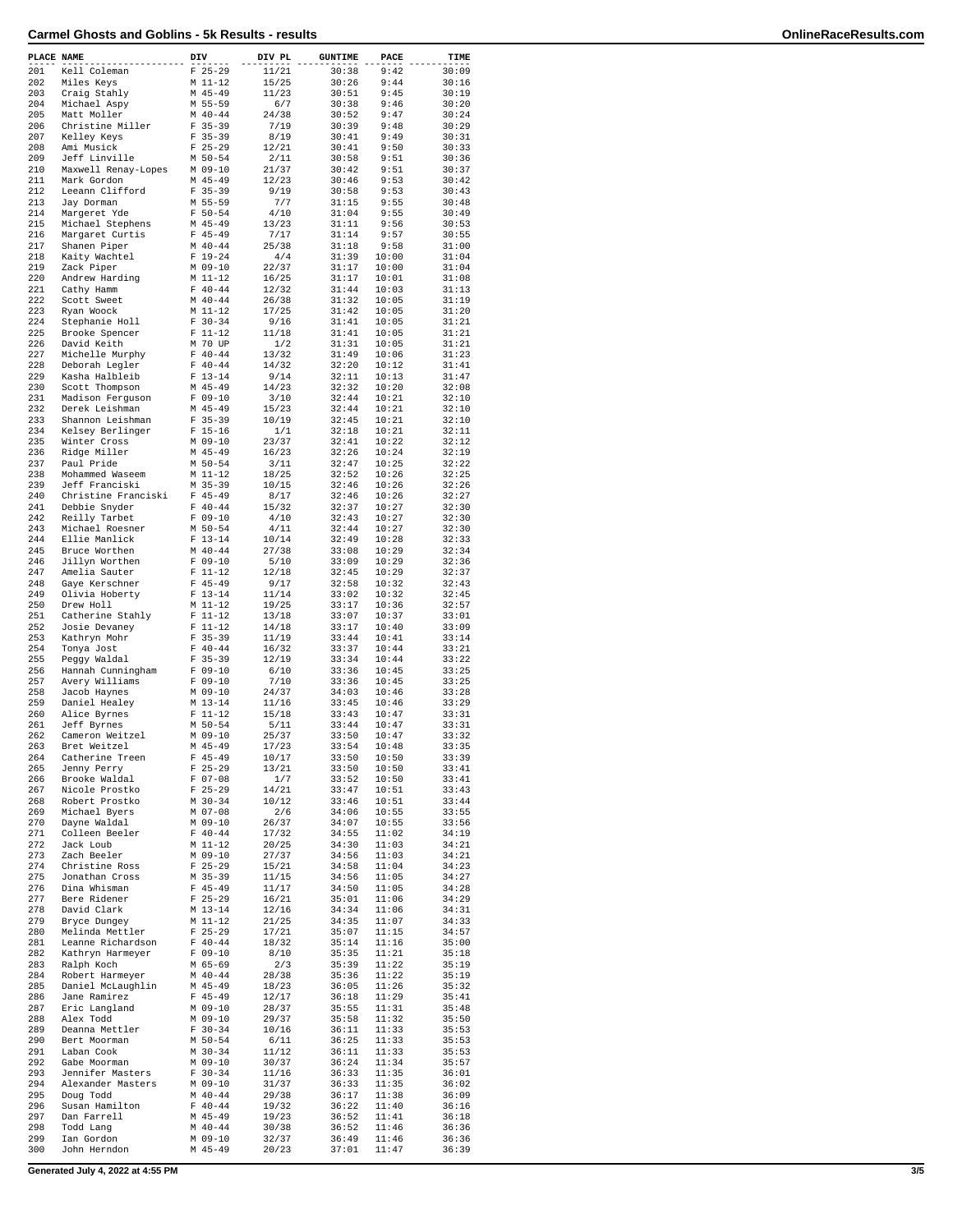| PLACE NAME |                                      | DIV |                          | DIV PL         | <b>GUNTIME</b> | PACE           | TIME           |
|------------|--------------------------------------|-----|--------------------------|----------------|----------------|----------------|----------------|
| 201        | Kell Coleman                         |     | $F$ 25-29                | 11/21          | 30:38          | 9:42           | 30:09          |
| 202        | Miles Keys                           |     | M 11-12                  | 15/25          | 30:26          | 9:44           | 30:16          |
| 203        | Craig Stahly                         |     | $M$ 45-49                | 11/23          | 30:51          | 9:45           | 30:19          |
| 204        | Michael Aspy                         |     | M 55-59                  | 6/7            | 30:38          | 9:46           | 30:20          |
| 205        | Matt Moller                          |     | $M$ 40-44                | 24/38          | 30:52          | 9:47           | 30:24          |
| 206        | Christine Miller                     |     | $F$ 35-39                | 7/19           | 30:39          | 9:48           | 30:29          |
| 207        | Kelley Keys                          |     | $F$ 35-39                | 8/19           | 30:41          | 9:49           | 30:31          |
| 208        | Ami Musick                           |     | $F$ 25-29                | 12/21          | 30:41          | 9:50           | 30:33          |
| 209        | Jeff Linville                        |     | $M$ 50-54                | 2/11           | 30:58          | 9:51           | 30:36          |
| 210        | Maxwell Renay-Lopes                  |     | M 09-10                  | 21/37          | 30:42          | 9:51           | 30:37          |
| 211        | Mark Gordon                          |     | $M$ 45-49                | 12/23          | 30:46          | 9:53           | 30:42          |
| 212        | Leeann Clifford                      |     | $F$ 35-39                | 9/19           | 30:58          | 9:53           | 30:43          |
| 213        | Jay Dorman                           |     | M 55-59                  | 7/7            | 31:15          | 9:55           | 30:48          |
| 214        | Margeret Yde                         |     | $F 50 - 54$              | 4/10           | 31:04          | 9:55           | 30:49          |
| 215        | Michael Stephens                     |     | $M$ 45-49                | 13/23          | 31:11          | 9:56           | 30:53          |
| 216        | Margaret Curtis                      |     | $F$ 45-49                | 7/17           | 31:14          | 9:57           | 30:55          |
| 217        | Shanen Piper                         |     | $M$ 40-44                | 25/38<br>4/4   | 31:18          | 9:58           | 31:00          |
| 218        | Kaity Wachtel                        |     | $F 19-24$                |                | 31:39          | 10:00          | 31:04          |
| 219        | Zack Piper                           |     | M 09-10                  | 22/37          | 31:17<br>31:17 | 10:00          | 31:04          |
| 220<br>221 | Andrew Harding<br>Cathy Hamm         |     | M 11-12<br>$F 40 - 44$   | 16/25<br>12/32 | 31:44          | 10:01<br>10:03 | 31:08<br>31:13 |
| 222        | Scott Sweet                          |     | $M$ 40-44                | 26/38          | 31:32          | 10:05          | 31:19          |
| 223        | Ryan Woock                           |     | M 11-12                  | 17/25          | 31:42          | 10:05          | 31:20          |
| 224        | Stephanie Holl                       |     | $F 30-34$                | 9/16           | 31:41          | 10:05          | 31:21          |
| 225        | Brooke Spencer                       |     | $F 11-12$                | 11/18          | 31:41          | 10:05          | 31:21          |
| 226        | David Keith                          |     | M 70 UP                  | 1/2            | 31:31          | 10:05          | 31:21          |
| 227        | Michelle Murphy                      |     | $F 40 - 44$              | 13/32          | 31:49          | 10:06          | 31:23          |
| 228        | Deborah Legler                       |     | $F 40 - 44$              | 14/32          | 32:20          | 10:12          | 31:41          |
| 229        | Kasha Halbleib                       |     | $F 13-14$                | 9/14           | 32:11          | 10:13          | 31:47          |
| 230        | Scott Thompson                       |     | M 45-49                  | 14/23          | 32:32          | 10:20          | 32:08          |
| 231        | Madison Ferguson                     |     | $F 09-10$                | 3/10           | 32:44          | 10:21          | 32:10          |
| 232        | Derek Leishman                       |     | $M$ 45-49                | 15/23          | 32:44          | 10:21          | 32:10          |
| 233        | Shannon Leishman                     |     | $F$ 35-39                | 10/19          | 32:45          | 10:21          | 32:10          |
| 234        | Kelsey Berlinger                     |     | $F 15-16$                | 1/1            | 32:18          | 10:21          | 32:11          |
| 235        | Winter Cross                         |     | M 09-10                  | 23/37          | 32:41          | 10:22          | 32:12          |
| 236        | Ridge Miller                         |     | M 45-49                  | 16/23          | 32:26          | 10:24          | 32:19          |
| 237        | Paul Pride                           |     | M 50-54                  | 3/11           | 32:47          | 10:25          | 32:22          |
| 238        | Mohammed Waseem                      |     | M 11-12                  | 18/25          | 32:52          | 10:26          | 32:25          |
| 239        | Jeff Franciski                       |     | $M$ 35-39                | 10/15          | 32:46          | 10:26          | 32:26          |
| 240        | Christine Franciski                  |     | $F$ 45-49                | 8/17           | 32:46          | 10:26          | 32:27          |
| 241        | Debbie Snyder                        |     | $F 40 - 44$              | 15/32          | 32:37          | 10:27          | 32:30          |
| 242        | Reilly Tarbet                        |     | $F 09-10$                | 4/10           | 32:43          | 10:27          | 32:30          |
| 243        | Michael Roesner                      |     | M 50-54                  | 4/11           | 32:44          | 10:27          | 32:30          |
| 244        | Ellie Manlick                        |     | $F 13-14$                | 10/14          | 32:49          | 10:28          | 32:33          |
| 245        | Bruce Worthen                        |     | $M$ 40-44                | 27/38          | 33:08          | 10:29          | 32:34          |
| 246        | Jillyn Worthen                       |     | $F 09-10$                | 5/10           | 33:09          | 10:29          | 32:36          |
| 247        | Amelia Sauter                        |     | $F 11-12$                | 12/18          | 32:45          | 10:29          | 32:37          |
| 248        | Gaye Kerschner                       |     | $F$ 45-49                | 9/17           | 32:58          | 10:32          | 32:43          |
| 249        | Olivia Hoberty                       |     | $F 13-14$                | 11/14          | 33:02          | 10:32          | 32:45          |
| 250        | Drew Holl                            |     | M 11-12                  | 19/25          | 33:17          | 10:36          | 32:57          |
| 251        | Catherine Stahly                     |     | $F 11-12$                | 13/18          | 33:07          | 10:37          | 33:01          |
| 252        | Josie Devaney                        |     | $F 11-12$                | 14/18          | 33:17          | 10:40          | 33:09          |
| 253        | Kathryn Mohr                         |     | $F 35-39$                | 11/19          | 33:44          | 10:41          | 33:14          |
| 254        | Tonya Jost                           |     | $F 40 - 44$              | 16/32          | 33:37          | 10:44          | 33:21          |
| 255        | Peggy Waldal                         |     | $F$ 35-39                | 12/19          | 33:34          | 10:44          | 33:22          |
| 256        | Hannah Cunningham                    |     | $F 09-10$                | 6/10           | 33:36          | 10:45          | 33:25          |
| 257        | Avery Williams                       |     | $F 09-10$                | 7/10           | 33:36          | 10:45          | 33:25          |
| 258        | Jacob Haynes                         |     | M 09-10                  | 24/37          | 34:03          | 10:46          | 33:28          |
| 259        | Daniel Healey                        |     | $M_13-14$                | 11/16          | 33:45          | 10:46          | 33:29          |
| 260        | Alice Byrnes                         |     | $F 11-12$                | 15/18          | 33:43          | 10:47          | 33:31          |
| 261        | Jeff Byrnes                          |     | $M$ 50-54                | 5/11           | 33:44          | 10:47          | 33:31          |
| 262        | Cameron Weitzel                      |     | $M$ 09-10                | 25/37          | 33:50          | 10:47          | 33:32          |
| 263        | Bret Weitzel                         |     | $M$ 45-49                | 17/23          | 33:54          | 10:48          | 33:35          |
| 264        | Catherine Treen                      |     | $F$ 45-49                | 10/17          | 33:50          | 10:50          | 33:39          |
| 265        | Jenny Perry                          |     | $F$ 25-29                | 13/21          | 33:50          | 10:50          | 33:41          |
| 266        | Brooke Waldal                        |     | $F 07-08$                | 1/7            | 33:52          | 10:50          | 33:41          |
| 267        | Nicole Prostko                       |     | $F$ 25-29                | 14/21          | 33:47          | 10:51          | 33:43          |
| 268        | Robert Prostko                       |     | $M$ 30-34                | 10/12          | 33:46          | 10:51          | 33:44          |
| 269        | Michael Byers                        |     | M 07-08                  | 2/6            | 34:06          | 10:55          | 33:55          |
| 270        | Dayne Waldal                         |     | M 09-10                  | 26/37          | 34:07          | 10:55          | 33:56          |
| 271        | Colleen Beeler                       |     | $F 40-44$                | 17/32          | 34:55          | 11:02          | 34:19          |
| 272        | Jack Loub                            |     | $M_11-12$                | 20/25          | 34:30          | 11:03          | 34:21          |
| 273        | Zach Beeler<br>Christine Ross        |     | M 09-10                  | 27/37          | 34:56          | 11:03          | 34:21          |
| 274        |                                      |     | $F$ 25-29                | 15/21          | 34:58          | 11:04          | 34:23          |
| 275        | Jonathan Cross                       |     | M 35-39                  | 11/15          | 34:56          | 11:05          | 34:27          |
| 276        | Dina Whisman                         |     | $F$ 45-49                | 11/17          | 34:50          | 11:05          | 34:28          |
| 277<br>278 | Bere Ridener<br>David Clark          |     | $F$ 25-29                | 16/21          | 35:01          | 11:06          | 34:29          |
| 279        | Bryce Dungey                         |     | M 13-14                  | 12/16<br>21/25 | 34:34          | 11:06          | 34:31          |
| 280        |                                      |     | M 11-12                  |                | 34:35          | 11:07          | 34:33          |
| 281        | Melinda Mettler<br>Leanne Richardson |     | $F$ 25-29<br>$F 40 - 44$ | 17/21<br>18/32 | 35:07<br>35:14 | 11:15<br>11:16 | 34:57<br>35:00 |
| 282        |                                      |     | $F 09-10$                |                |                |                |                |
| 283        | Kathryn Harmeyer<br>Ralph Koch       |     | M 65-69                  | 8/10<br>2/3    | 35:35<br>35:39 | 11:21<br>11:22 | 35:18<br>35:19 |
| 284        | Robert Harmeyer                      |     | $M$ 40-44                | 28/38          | 35:36          | 11:22          | 35:19          |
| 285        | Daniel McLaughlin                    |     | M 45-49                  | 18/23          | 36:05          | 11:26          | 35:32          |
| 286        | Jane Ramirez                         |     | $F$ 45-49                | 12/17          | 36:18          | 11:29          | 35:41          |
| 287        | Eric Langland                        |     | M 09-10                  | 28/37          | 35:55          | 11:31          | 35:48          |
| 288        | Alex Todd                            |     | M 09-10                  | 29/37          | 35:58          | 11:32          | 35:50          |
| 289        | Deanna Mettler                       |     | $F 30-34$                | 10/16          | 36:11          | 11:33          | 35:53          |
| 290        | Bert Moorman                         |     | $M$ 50-54                | 6/11           | 36:25          | 11:33          | 35:53          |
| 291        | Laban Cook                           |     | $M$ 30-34                | 11/12          | 36:11          | 11:33          | 35:53          |
| 292        | Gabe Moorman                         |     | M 09-10                  | 30/37          | 36:24          | 11:34          | 35:57          |
| 293        | Jennifer Masters                     |     | $F 30-34$                | 11/16          | 36:33          | 11:35          | 36:01          |
| 294        | Alexander Masters                    |     | M 09-10                  | 31/37          | 36:33          | 11:35          | 36:02          |
| 295        | Doug Todd                            |     | $M$ 40-44                | 29/38          | 36:17          | 11:38          | 36:09          |
| 296        | Susan Hamilton                       |     | $F 40 - 44$              | 19/32          | 36:22          | 11:40          | 36:16          |
| 297        | Dan Farrell                          |     | M 45-49                  | 19/23          | 36:52          | 11:41          | 36:18          |
| 298        | Todd Lang                            |     | $M$ 40-44                | 30/38          | 36:52          | 11:46          | 36:36          |
| 299        | Ian Gordon                           |     | $M$ 09-10                | 32/37          | 36:49          | 11:46          | 36:36          |
| 300        | John Herndon                         |     | $M$ 45-49                | 20/23          | 37:01          | 11:47          | 36:39          |
|            |                                      |     |                          |                |                |                |                |

**Generated July 4, 2022 at 4:55 PM 3/5**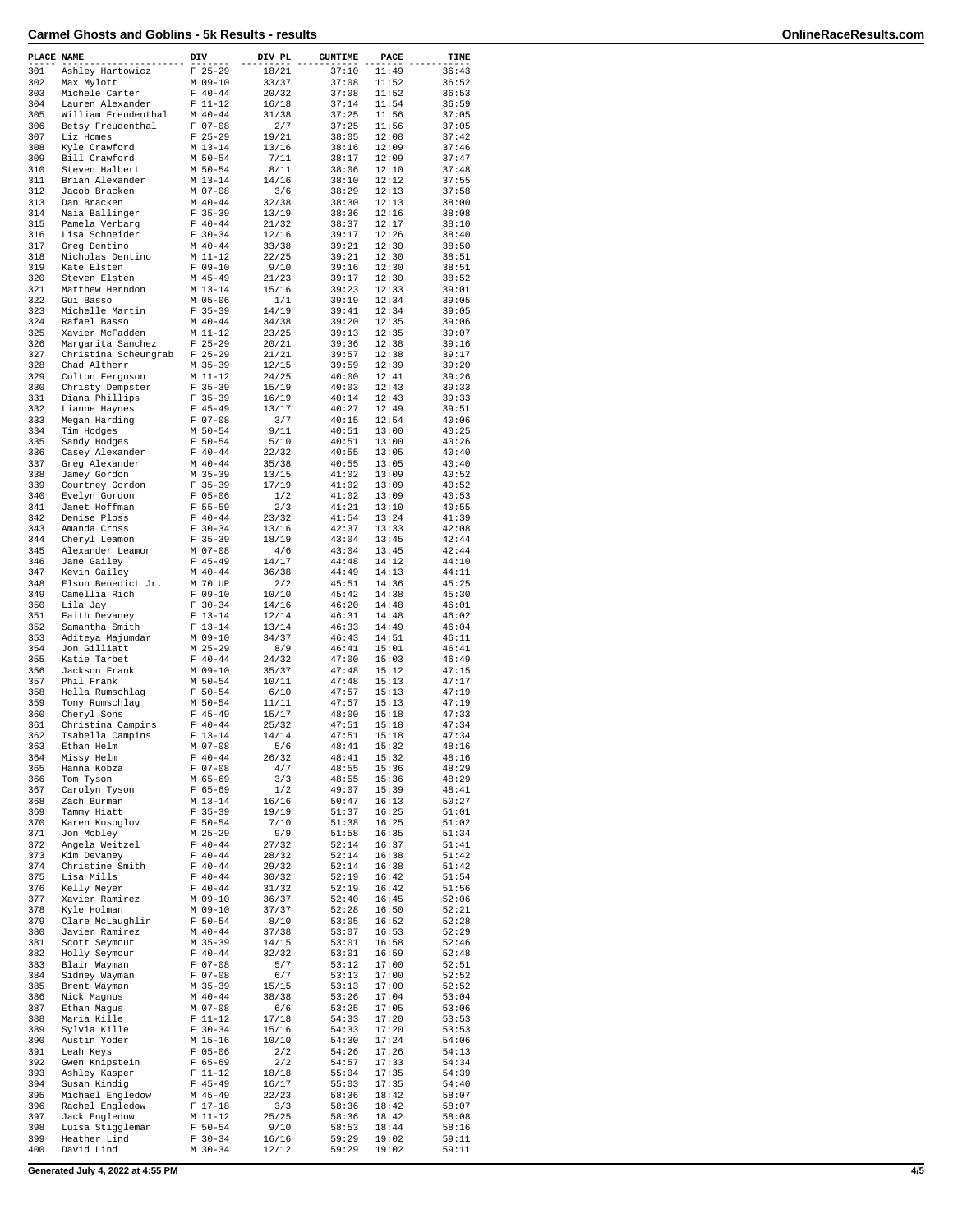| PLACE NAME |                                         | DIV |                            | DIV PL         | <b>GUNTIME</b> | PACE           | TIME           |
|------------|-----------------------------------------|-----|----------------------------|----------------|----------------|----------------|----------------|
| 301        | Ashley Hartowicz                        |     | $F$ 25-29                  | 18/21          | 37:10          | 11:49          | 36:43          |
| 302        | Max Mylott                              |     | $M$ 09-10                  | 33/37          | 37:08          | 11:52          | 36:52          |
| 303        | Michele Carter                          |     | $F 40 - 44$                | 20/32          | 37:08          | 11:52<br>11:54 | 36:53          |
| 304<br>305 | Lauren Alexander<br>William Freudenthal |     | $F 11 - 12$<br>$M$ 40-44   | 16/18          | 37:14<br>37:25 | 11:56          | 36:59          |
| 306        | Betsy Freudenthal                       |     | $F 07-08$                  | 31/38<br>2/7   | 37:25          | 11:56          | 37:05<br>37:05 |
| 307        | Liz Homes                               |     | $F$ 25-29                  | 19/21          | 38:05          | 12:08          | 37:42          |
| 308        | Kyle Crawford                           |     | $M$ 13-14                  | 13/16          | 38:16          | 12:09          | 37:46          |
| 309        | Bill Crawford                           |     | $M$ 50-54                  | 7/11           | 38:17          | 12:09          | 37:47          |
| 310        | Steven Halbert                          |     | $M$ 50-54                  | 8/11           | 38:06          | 12:10          | 37:48          |
| 311        | Brian Alexander                         |     | $M_13-14$                  | 14/16          | 38:10          | 12:12          | 37:55          |
| 312        | Jacob Bracken                           |     | M 07-08                    | 3/6            | 38:29          | 12:13          | 37:58          |
| 313        | Dan Bracken                             |     | $M$ 40-44                  | 32/38          | 38:30          | 12:13          | 38:00          |
| 314        | Naia Ballinger                          |     | $F$ 35-39                  | 13/19          | 38:36          | 12:16          | 38:08          |
| 315        | Pamela Verbarg                          |     | $F 40 - 44$                | 21/32          | 38:37          | 12:17          | 38:10          |
| 316<br>317 | Lisa Schneider                          |     | $F 30-34$<br>$M$ 40-44     | 12/16          | 39:17          | 12:26          | 38:40          |
| 318        | Greg Dentino<br>Nicholas Dentino        |     | M 11-12                    | 33/38<br>22/25 | 39:21<br>39:21 | 12:30<br>12:30 | 38:50<br>38:51 |
| 319        | Kate Elsten                             |     | $F 09-10$                  | 9/10           | 39:16          | 12:30          | 38:51          |
| 320        | Steven Elsten                           |     | $M$ 45-49                  | 21/23          | 39:17          | 12:30          | 38:52          |
| 321        | Matthew Herndon                         |     | $M$ 13-14                  | 15/16          | 39:23          | 12:33          | 39:01          |
| 322        | Gui Basso                               |     | $M$ 05-06                  | 1/1            | 39:19          | 12:34          | 39:05          |
| 323        | Michelle Martin                         |     | $F$ 35-39                  | 14/19          | 39:41          | 12:34          | 39:05          |
| 324        | Rafael Basso                            |     | $M$ 40-44                  | 34/38          | 39:20          | 12:35          | 39:06          |
| 325        | Xavier McFadden                         |     | M 11-12                    | 23/25          | 39:13          | 12:35          | 39:07          |
| 326        | Margarita Sanchez                       |     | $F$ 25-29                  | 20/21          | 39:36          | 12:38          | 39:16          |
| 327        | Christina Scheungrab                    |     | $F$ 25-29                  | 21/21          | 39:57          | 12:38          | 39:17          |
| 328<br>329 | Chad Altherr                            |     | $M$ 35-39                  | 12/15          | 39:59          | 12:39<br>12:41 | 39:20<br>39:26 |
| 330        | Colton Ferguson<br>Christy Dempster     |     | M 11-12<br>$F$ 35-39       | 24/25<br>15/19 | 40:00<br>40:03 | 12:43          | 39:33          |
| 331        | Diana Phillips                          |     | $F$ 35-39                  | 16/19          | 40:14          | 12:43          | 39:33          |
| 332        | Lianne Haynes                           |     | $F$ 45-49                  | 13/17          | 40:27          | 12:49          | 39:51          |
| 333        | Megan Harding                           |     | $F 07-08$                  | 3/7            | 40:15          | 12:54          | 40:06          |
| 334        | Tim Hodges                              |     | $M$ 50-54                  | 9/11           | 40:51          | 13:00          | 40:25          |
| 335        | Sandy Hodges                            |     | $F 50 - 54$                | 5/10           | 40:51          | 13:00          | 40:26          |
| 336        | Casey Alexander                         |     | $F 40 - 44$                | 22/32          | 40:55          | 13:05          | 40:40          |
| 337        | Greg Alexander                          |     | $M$ 40-44                  | 35/38          | 40:55          | 13:05          | 40:40          |
| 338        | Jamey Gordon                            |     | $M$ 35-39                  | 13/15          | 41:02          | 13:09          | 40:52          |
| 339        | Courtney Gordon                         |     | $F$ 35-39                  | 17/19          | 41:02          | 13:09          | 40:52          |
| 340<br>341 | Evelyn Gordon                           |     | $F 05 - 06$<br>$F 55 - 59$ | 1/2            | 41:02<br>41:21 | 13:09          | 40:53          |
| 342        | Janet Hoffman<br>Denise Ploss           |     | $F 40 - 44$                | 2/3<br>23/32   | 41:54          | 13:10<br>13:24 | 40:55<br>41:39 |
| 343        | Amanda Cross                            |     | $F 30-34$                  | 13/16          | 42:37          | 13:33          | 42:08          |
| 344        | Cheryl Leamon                           |     | $F$ 35-39                  | 18/19          | 43:04          | 13:45          | 42:44          |
| 345        | Alexander Leamon                        |     | $M$ 07-08                  | 4/6            | 43:04          | 13:45          | 42:44          |
| 346        | Jane Gailey                             |     | $F$ 45-49                  | 14/17          | 44:48          | 14:12          | 44:10          |
| 347        | Kevin Gailey                            |     | $M$ 40-44                  | 36/38          | 44:49          | 14:13          | 44:11          |
| 348        | Elson Benedict Jr.                      |     | M 70 UP                    | 2/2            | 45:51          | 14:36          | 45:25          |
| 349        | Camellia Rich                           |     | $F 09-10$                  | 10/10          | 45:42          | 14:38          | 45:30          |
| 350        | Lila Jay                                |     | $F 30-34$                  | 14/16          | 46:20          | 14:48          | 46:01          |
| 351<br>352 | Faith Devaney<br>Samantha Smith         |     | $F 13 - 14$<br>$F 13 - 14$ | 12/14<br>13/14 | 46:31<br>46:33 | 14:48<br>14:49 | 46:02<br>46:04 |
| 353        | Aditeya Majumdar                        |     | M 09-10                    | 34/37          | 46:43          | 14:51          | 46:11          |
| 354        | Jon Gilliatt                            |     | $M$ 25-29                  | 8/9            | 46:41          | 15:01          | 46:41          |
| 355        | Katie Tarbet                            |     | $F 40-44$                  | 24/32          | 47:00          | 15:03          | 46:49          |
| 356        | Jackson Frank                           |     | $M$ 09-10                  | 35/37          | 47:48          | 15:12          | 47:15          |
| 357        | Phil Frank                              |     | M 50-54                    | 10/11          | 47:48          | 15:13          | 47:17          |
| 358        | Hella Rumschlag                         |     | $F 50 - 54$                | 6/10           | 47:57          | 15:13          | 47:19          |
| 359        | Tony Rumschlag                          |     | M 50-54                    | 11/11          | 47:57          | 15:13          | 47:19          |
| 360        | Cheryl Sons                             |     | $F$ 45-49                  | 15/17          | 48:00          | 15:18          | 47:33          |
| 361        | Christina Campins                       |     | $F 40-44$                  | 25/32          | 47:51          | 15:18          | 47:34          |
| 362<br>363 | Isabella Campins<br>Ethan Helm          |     | $F 13 - 14$<br>M 07-08     | 14/14<br>5/6   | 47:51<br>48:41 | 15:18<br>15:32 | 47:34<br>48:16 |
| 364        | Missy Helm                              |     | $F 40 - 44$                | 26/32          | 48:41          | 15:32          | 48:16          |
| 365        | Hanna Kobza                             |     | $F 07-08$                  | 4/7            | 48:55          | 15:36          | 48:29          |
| 366        | Tom Tyson                               |     | M 65-69                    | 3/3            | 48:55          | 15:36          | 48:29          |
| 367        | Carolyn Tyson                           |     | $F 65 - 69$                | 1/2            | 49:07          | 15:39          | 48:41          |
| 368        | Zach Burman                             |     | M 13-14                    | 16/16          | 50:47          | 16:13          | 50:27          |
| 369        | Tammy Hiatt                             |     | $F$ 35-39                  | 19/19          | 51:37          | 16:25          | 51:01          |
| 370        | Karen Kosoglov                          |     | $F 50 - 54$                | 7/10           | 51:38          | 16:25          | 51:02          |
| 371        | Jon Mobley                              |     | $M$ 25-29                  | 9/9            | 51:58          | 16:35          | 51:34          |
| 372        | Angela Weitzel                          |     | $F 40 - 44$                | 27/32          | 52:14          | 16:37          | 51:41          |
| 373<br>374 | Kim Devaney<br>Christine Smith          |     | $F 40 - 44$<br>$F 40 - 44$ | 28/32<br>29/32 | 52:14<br>52:14 | 16:38<br>16:38 | 51:42<br>51:42 |
| 375        | Lisa Mills                              |     | $F 40 - 44$                | 30/32          | 52:19          | 16:42          | 51:54          |
| 376        | Kelly Meyer                             |     | $F 40 - 44$                | 31/32          | 52:19          | 16:42          | 51:56          |
| 377        | Xavier Ramirez                          |     | $M$ 09-10                  | 36/37          | 52:40          | 16:45          | 52:06          |
| 378        | Kyle Holman                             |     | $M$ 09-10                  | 37/37          | 52:28          | 16:50          | 52:21          |
| 379        | Clare McLaughlin                        |     | $F 50 - 54$                | 8/10           | 53:05          | 16:52          | 52:28          |
| 380        | Javier Ramirez                          |     | $M$ 40-44                  | 37/38          | 53:07          | 16:53          | 52:29          |
| 381        | Scott Seymour                           |     | M 35-39                    | 14/15          | 53:01          | 16:58          | 52:46          |
| 382        | Holly Seymour                           |     | $F 40-44$                  | 32/32          | 53:01          | 16:59          | 52:48          |
| 383        | Blair Wayman                            |     | $F 07-08$                  | 5/7            | 53:12          | 17:00          | 52:51          |
| 384<br>385 | Sidney Wayman<br>Brent Wayman           |     | $F 07-08$<br>M 35-39       | 6/7<br>15/15   | 53:13<br>53:13 | 17:00<br>17:00 | 52:52<br>52:52 |
| 386        | Nick Magnus                             |     | $M$ 40-44                  | 38/38          | 53:26          | 17:04          | 53:04          |
| 387        | Ethan Magus                             |     | M 07-08                    | 6/6            | 53:25          | 17:05          | 53:06          |
| 388        | Maria Kille                             |     | $F 11-12$                  | 17/18          | 54:33          | 17:20          | 53:53          |
| 389        | Sylvia Kille                            |     | $F 30-34$                  | 15/16          | 54:33          | 17:20          | 53:53          |
| 390        | Austin Yoder                            |     | M 15-16                    | 10/10          | 54:30          | 17:24          | 54:06          |
| 391        | Leah Keys                               |     | $F 05 - 06$                | 2/2            | 54:26          | 17:26          | 54:13          |
| 392        | Gwen Knipstein                          |     | $F 65 - 69$                | 2/2            | 54:57          | 17:33          | 54:34          |
| 393        | Ashley Kasper                           |     | $F 11-12$                  | 18/18          | 55:04          | 17:35          | 54:39          |
| 394        | Susan Kindig                            |     | $F$ 45-49                  | 16/17          | 55:03          | 17:35          | 54:40          |
| 395        | Michael Engledow                        |     | $M$ 45-49                  | 22/23          | 58:36          | 18:42          | 58:07          |
| 396<br>397 | Rachel Engledow<br>Jack Engledow        |     | $F 17-18$                  | 3/3<br>25/25   | 58:36<br>58:36 | 18:42<br>18:42 | 58:07<br>58:08 |
| 398        | Luisa Stiggleman                        |     | M 11-12<br>$F 50 - 54$     | 9/10           | 58:53          | 18:44          | 58:16          |
| 399        | Heather Lind                            |     | $F 30-34$                  | 16/16          | 59:29          | 19:02          | 59:11          |
| 400        | David Lind                              |     | $M$ 30-34                  | 12/12          | 59:29          | 19:02          | 59:11          |
|            |                                         |     |                            |                |                |                |                |

**Generated July 4, 2022 at 4:55 PM 4/5**